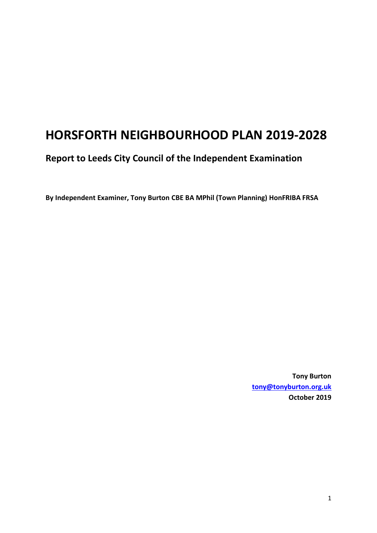# **HORSFORTH NEIGHBOURHOOD PLAN 2019-2028**

## **Report to Leeds City Council of the Independent Examination**

**By Independent Examiner, Tony Burton CBE BA MPhil (Town Planning) HonFRIBA FRSA**

**Tony Burton [tony@tonyburton.org.uk](mailto:tony@tonyburton.org.uk) October 2019**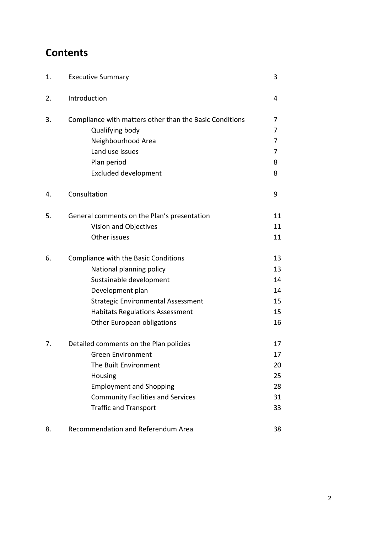# **Contents**

| 1. | <b>Executive Summary</b>                                | 3  |
|----|---------------------------------------------------------|----|
| 2. | Introduction                                            | 4  |
| 3. | Compliance with matters other than the Basic Conditions | 7  |
|    | Qualifying body                                         | 7  |
|    | Neighbourhood Area                                      | 7  |
|    | Land use issues                                         | 7  |
|    | Plan period                                             | 8  |
|    | <b>Excluded development</b>                             | 8  |
| 4. | Consultation                                            | 9  |
| 5. | General comments on the Plan's presentation             | 11 |
|    | Vision and Objectives                                   | 11 |
|    | Other issues                                            | 11 |
| 6. | Compliance with the Basic Conditions                    | 13 |
|    | National planning policy                                | 13 |
|    | Sustainable development                                 | 14 |
|    | Development plan                                        | 14 |
|    | <b>Strategic Environmental Assessment</b>               | 15 |
|    | <b>Habitats Regulations Assessment</b>                  | 15 |
|    | Other European obligations                              | 16 |
| 7. | Detailed comments on the Plan policies                  | 17 |
|    | <b>Green Environment</b>                                | 17 |
|    | The Built Environment                                   | 20 |
|    | Housing                                                 | 25 |
|    | <b>Employment and Shopping</b>                          | 28 |
|    | <b>Community Facilities and Services</b>                | 31 |
|    | <b>Traffic and Transport</b>                            | 33 |
| 8. | Recommendation and Referendum Area                      | 38 |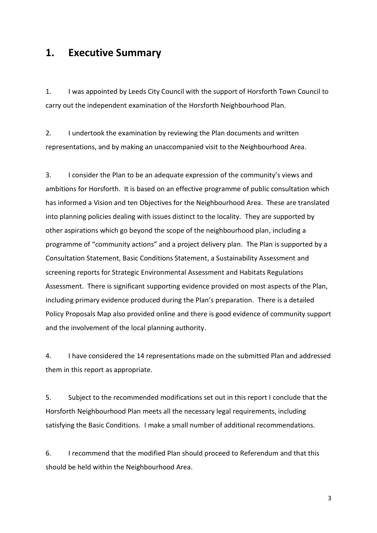## **1. Executive Summary**

1. I was appointed by Leeds City Council with the support of Horsforth Town Council to carry out the independent examination of the Horsforth Neighbourhood Plan.

2. I undertook the examination by reviewing the Plan documents and written representations, and by making an unaccompanied visit to the Neighbourhood Area.

3. I consider the Plan to be an adequate expression of the community's views and ambitions for Horsforth. It is based on an effective programme of public consultation which has informed a Vision and ten Objectives for the Neighbourhood Area. These are translated into planning policies dealing with issues distinct to the locality. They are supported by other aspirations which go beyond the scope of the neighbourhood plan, including a programme of "community actions" and a project delivery plan. The Plan is supported by a Consultation Statement, Basic Conditions Statement, a Sustainability Assessment and screening reports for Strategic Environmental Assessment and Habitats Regulations Assessment. There is significant supporting evidence provided on most aspects of the Plan, including primary evidence produced during the Plan's preparation. There is a detailed Policy Proposals Map also provided online and there is good evidence of community support and the involvement of the local planning authority.

4. I have considered the 14 representations made on the submitted Plan and addressed them in this report as appropriate.

5. Subject to the recommended modifications set out in this report I conclude that the Horsforth Neighbourhood Plan meets all the necessary legal requirements, including satisfying the Basic Conditions. I make a small number of additional recommendations.

6. I recommend that the modified Plan should proceed to Referendum and that this should be held within the Neighbourhood Area.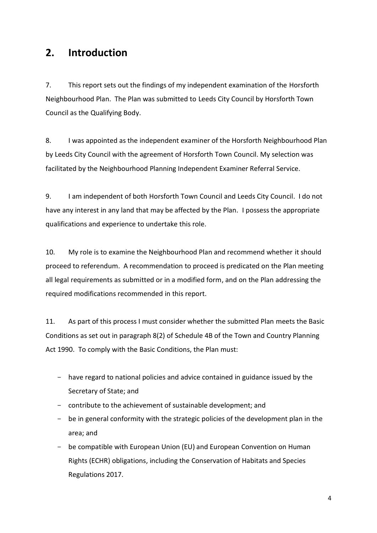## **2. Introduction**

7. This report sets out the findings of my independent examination of the Horsforth Neighbourhood Plan. The Plan was submitted to Leeds City Council by Horsforth Town Council as the Qualifying Body.

8. I was appointed as the independent examiner of the Horsforth Neighbourhood Plan by Leeds City Council with the agreement of Horsforth Town Council. My selection was facilitated by the Neighbourhood Planning Independent Examiner Referral Service.

9. I am independent of both Horsforth Town Council and Leeds City Council. I do not have any interest in any land that may be affected by the Plan. I possess the appropriate qualifications and experience to undertake this role.

10. My role is to examine the Neighbourhood Plan and recommend whether it should proceed to referendum. A recommendation to proceed is predicated on the Plan meeting all legal requirements as submitted or in a modified form, and on the Plan addressing the required modifications recommended in this report.

11. As part of this process I must consider whether the submitted Plan meets the Basic Conditions as set out in paragraph 8(2) of Schedule 4B of the Town and Country Planning Act 1990. To comply with the Basic Conditions, the Plan must:

- have regard to national policies and advice contained in guidance issued by the Secretary of State; and
- contribute to the achievement of sustainable development; and
- be in general conformity with the strategic policies of the development plan in the area; and
- be compatible with European Union (EU) and European Convention on Human Rights (ECHR) obligations, including the Conservation of Habitats and Species Regulations 2017.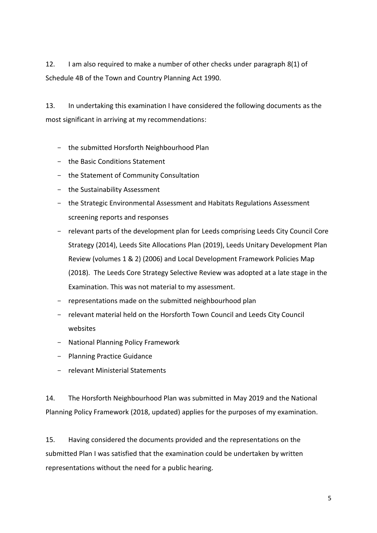12. I am also required to make a number of other checks under paragraph 8(1) of Schedule 4B of the Town and Country Planning Act 1990.

13. In undertaking this examination I have considered the following documents as the most significant in arriving at my recommendations:

- the submitted Horsforth Neighbourhood Plan
- the Basic Conditions Statement
- the Statement of Community Consultation
- the Sustainability Assessment
- the Strategic Environmental Assessment and Habitats Regulations Assessment screening reports and responses
- relevant parts of the development plan for Leeds comprising Leeds City Council Core Strategy (2014), Leeds Site Allocations Plan (2019), Leeds Unitary Development Plan Review (volumes 1 & 2) (2006) and Local Development Framework Policies Map (2018). The Leeds Core Strategy Selective Review was adopted at a late stage in the Examination. This was not material to my assessment.
- representations made on the submitted neighbourhood plan
- relevant material held on the Horsforth Town Council and Leeds City Council websites
- National Planning Policy Framework
- Planning Practice Guidance
- relevant Ministerial Statements

14. The Horsforth Neighbourhood Plan was submitted in May 2019 and the National Planning Policy Framework (2018, updated) applies for the purposes of my examination.

15. Having considered the documents provided and the representations on the submitted Plan I was satisfied that the examination could be undertaken by written representations without the need for a public hearing.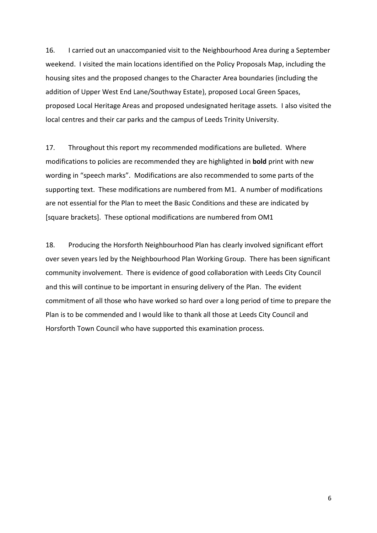16. I carried out an unaccompanied visit to the Neighbourhood Area during a September weekend. I visited the main locations identified on the Policy Proposals Map, including the housing sites and the proposed changes to the Character Area boundaries (including the addition of Upper West End Lane/Southway Estate), proposed Local Green Spaces, proposed Local Heritage Areas and proposed undesignated heritage assets. I also visited the local centres and their car parks and the campus of Leeds Trinity University.

17. Throughout this report my recommended modifications are bulleted. Where modifications to policies are recommended they are highlighted in **bold** print with new wording in "speech marks". Modifications are also recommended to some parts of the supporting text. These modifications are numbered from M1. A number of modifications are not essential for the Plan to meet the Basic Conditions and these are indicated by [square brackets]. These optional modifications are numbered from OM1

18. Producing the Horsforth Neighbourhood Plan has clearly involved significant effort over seven years led by the Neighbourhood Plan Working Group. There has been significant community involvement. There is evidence of good collaboration with Leeds City Council and this will continue to be important in ensuring delivery of the Plan. The evident commitment of all those who have worked so hard over a long period of time to prepare the Plan is to be commended and I would like to thank all those at Leeds City Council and Horsforth Town Council who have supported this examination process.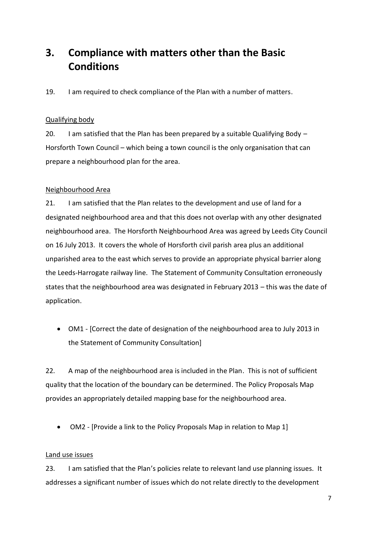# **3. Compliance with matters other than the Basic Conditions**

19. I am required to check compliance of the Plan with a number of matters.

### Qualifying body

20. I am satisfied that the Plan has been prepared by a suitable Qualifying Body  $-$ Horsforth Town Council – which being a town council is the only organisation that can prepare a neighbourhood plan for the area.

### Neighbourhood Area

21. I am satisfied that the Plan relates to the development and use of land for a designated neighbourhood area and that this does not overlap with any other designated neighbourhood area. The Horsforth Neighbourhood Area was agreed by Leeds City Council on 16 July 2013. It covers the whole of Horsforth civil parish area plus an additional unparished area to the east which serves to provide an appropriate physical barrier along the Leeds-Harrogate railway line. The Statement of Community Consultation erroneously states that the neighbourhood area was designated in February 2013 – this was the date of application.

 OM1 - [Correct the date of designation of the neighbourhood area to July 2013 in the Statement of Community Consultation]

22. A map of the neighbourhood area is included in the Plan. This is not of sufficient quality that the location of the boundary can be determined. The Policy Proposals Map provides an appropriately detailed mapping base for the neighbourhood area.

OM2 - [Provide a link to the Policy Proposals Map in relation to Map 1]

## Land use issues

23. I am satisfied that the Plan's policies relate to relevant land use planning issues. It addresses a significant number of issues which do not relate directly to the development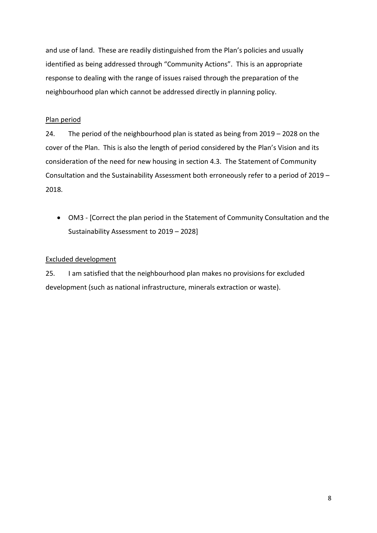and use of land. These are readily distinguished from the Plan's policies and usually identified as being addressed through "Community Actions". This is an appropriate response to dealing with the range of issues raised through the preparation of the neighbourhood plan which cannot be addressed directly in planning policy.

#### Plan period

24. The period of the neighbourhood plan is stated as being from 2019 – 2028 on the cover of the Plan. This is also the length of period considered by the Plan's Vision and its consideration of the need for new housing in section 4.3. The Statement of Community Consultation and the Sustainability Assessment both erroneously refer to a period of 2019 – 2018.

 OM3 - [Correct the plan period in the Statement of Community Consultation and the Sustainability Assessment to 2019 – 2028]

## Excluded development

25. I am satisfied that the neighbourhood plan makes no provisions for excluded development (such as national infrastructure, minerals extraction or waste).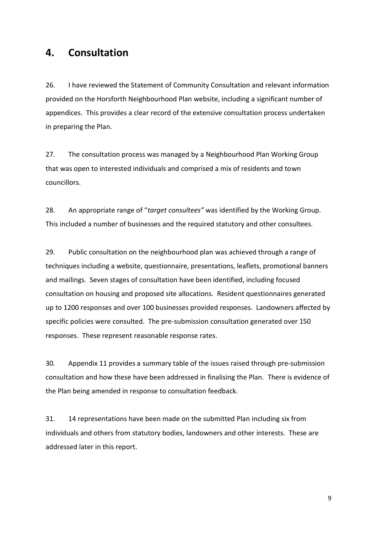## **4. Consultation**

26. I have reviewed the Statement of Community Consultation and relevant information provided on the Horsforth Neighbourhood Plan website, including a significant number of appendices. This provides a clear record of the extensive consultation process undertaken in preparing the Plan.

27. The consultation process was managed by a Neighbourhood Plan Working Group that was open to interested individuals and comprised a mix of residents and town councillors.

28. An appropriate range of "*target consultees"* was identified by the Working Group. This included a number of businesses and the required statutory and other consultees.

29. Public consultation on the neighbourhood plan was achieved through a range of techniques including a website, questionnaire, presentations, leaflets, promotional banners and mailings. Seven stages of consultation have been identified, including focused consultation on housing and proposed site allocations. Resident questionnaires generated up to 1200 responses and over 100 businesses provided responses. Landowners affected by specific policies were consulted. The pre-submission consultation generated over 150 responses. These represent reasonable response rates.

30. Appendix 11 provides a summary table of the issues raised through pre-submission consultation and how these have been addressed in finalising the Plan. There is evidence of the Plan being amended in response to consultation feedback.

31. 14 representations have been made on the submitted Plan including six from individuals and others from statutory bodies, landowners and other interests. These are addressed later in this report.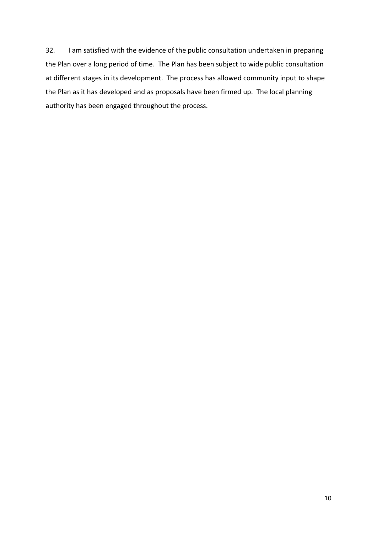32. I am satisfied with the evidence of the public consultation undertaken in preparing the Plan over a long period of time. The Plan has been subject to wide public consultation at different stages in its development. The process has allowed community input to shape the Plan as it has developed and as proposals have been firmed up. The local planning authority has been engaged throughout the process.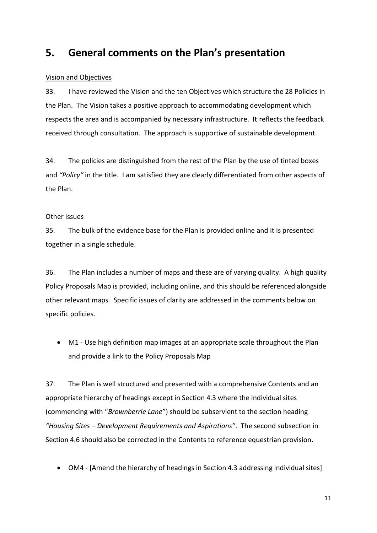## **5. General comments on the Plan's presentation**

## Vision and Objectives

33. I have reviewed the Vision and the ten Objectives which structure the 28 Policies in the Plan. The Vision takes a positive approach to accommodating development which respects the area and is accompanied by necessary infrastructure. It reflects the feedback received through consultation. The approach is supportive of sustainable development.

34. The policies are distinguished from the rest of the Plan by the use of tinted boxes and *"Policy"* in the title. I am satisfied they are clearly differentiated from other aspects of the Plan.

#### Other issues

35. The bulk of the evidence base for the Plan is provided online and it is presented together in a single schedule.

36. The Plan includes a number of maps and these are of varying quality. A high quality Policy Proposals Map is provided, including online, and this should be referenced alongside other relevant maps. Specific issues of clarity are addressed in the comments below on specific policies.

 M1 - Use high definition map images at an appropriate scale throughout the Plan and provide a link to the Policy Proposals Map

37. The Plan is well structured and presented with a comprehensive Contents and an appropriate hierarchy of headings except in Section 4.3 where the individual sites (commencing with "*Brownberrie Lane*") should be subservient to the section heading *"Housing Sites – Development Requirements and Aspirations"*. The second subsection in Section 4.6 should also be corrected in the Contents to reference equestrian provision.

OM4 - [Amend the hierarchy of headings in Section 4.3 addressing individual sites]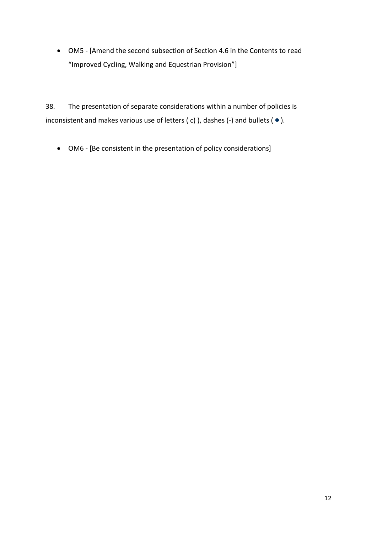OM5 - [Amend the second subsection of Section 4.6 in the Contents to read "Improved Cycling, Walking and Equestrian Provision"]

38. The presentation of separate considerations within a number of policies is inconsistent and makes various use of letters (c) ), dashes (-) and bullets ( $\bullet$ ).

OM6 - [Be consistent in the presentation of policy considerations]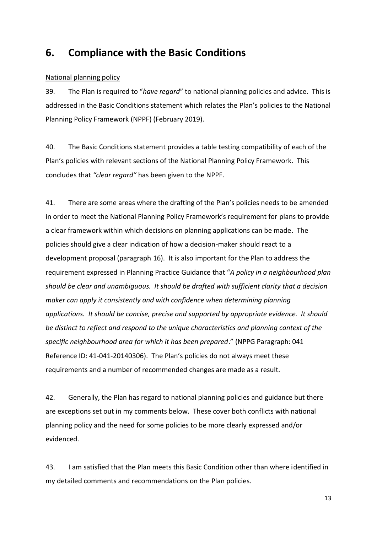## **6. Compliance with the Basic Conditions**

## National planning policy

39. The Plan is required to "*have regard*" to national planning policies and advice. This is addressed in the Basic Conditions statement which relates the Plan's policies to the National Planning Policy Framework (NPPF) (February 2019).

40. The Basic Conditions statement provides a table testing compatibility of each of the Plan's policies with relevant sections of the National Planning Policy Framework. This concludes that *"clear regard"* has been given to the NPPF.

41. There are some areas where the drafting of the Plan's policies needs to be amended in order to meet the National Planning Policy Framework's requirement for plans to provide a clear framework within which decisions on planning applications can be made. The policies should give a clear indication of how a decision-maker should react to a development proposal (paragraph 16). It is also important for the Plan to address the requirement expressed in Planning Practice Guidance that "*A policy in a neighbourhood plan should be clear and unambiguous. It should be drafted with sufficient clarity that a decision maker can apply it consistently and with confidence when determining planning applications. It should be concise, precise and supported by appropriate evidence. It should be distinct to reflect and respond to the unique characteristics and planning context of the specific neighbourhood area for which it has been prepared*." (NPPG Paragraph: 041 Reference ID: 41-041-20140306). The Plan's policies do not always meet these requirements and a number of recommended changes are made as a result.

42. Generally, the Plan has regard to national planning policies and guidance but there are exceptions set out in my comments below. These cover both conflicts with national planning policy and the need for some policies to be more clearly expressed and/or evidenced.

43. I am satisfied that the Plan meets this Basic Condition other than where identified in my detailed comments and recommendations on the Plan policies.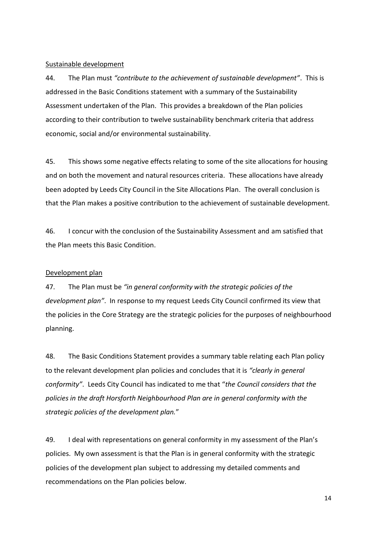#### Sustainable development

44. The Plan must *"contribute to the achievement of sustainable development"*. This is addressed in the Basic Conditions statement with a summary of the Sustainability Assessment undertaken of the Plan. This provides a breakdown of the Plan policies according to their contribution to twelve sustainability benchmark criteria that address economic, social and/or environmental sustainability.

45. This shows some negative effects relating to some of the site allocations for housing and on both the movement and natural resources criteria. These allocations have already been adopted by Leeds City Council in the Site Allocations Plan. The overall conclusion is that the Plan makes a positive contribution to the achievement of sustainable development.

46. I concur with the conclusion of the Sustainability Assessment and am satisfied that the Plan meets this Basic Condition.

#### Development plan

47. The Plan must be *"in general conformity with the strategic policies of the development plan"*. In response to my request Leeds City Council confirmed its view that the policies in the Core Strategy are the strategic policies for the purposes of neighbourhood planning.

48. The Basic Conditions Statement provides a summary table relating each Plan policy to the relevant development plan policies and concludes that it is *"clearly in general conformity"*. Leeds City Council has indicated to me that "*the Council considers that the policies in the draft Horsforth Neighbourhood Plan are in general conformity with the strategic policies of the development plan.*"

49. I deal with representations on general conformity in my assessment of the Plan's policies. My own assessment is that the Plan is in general conformity with the strategic policies of the development plan subject to addressing my detailed comments and recommendations on the Plan policies below.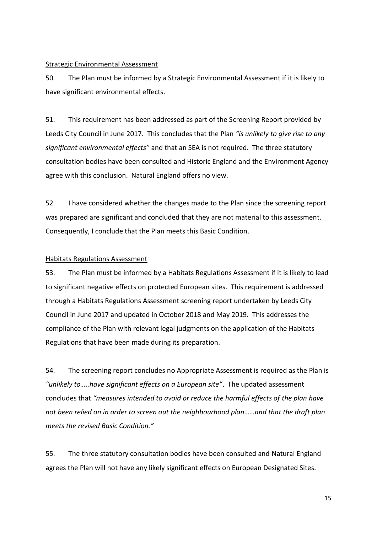#### Strategic Environmental Assessment

50. The Plan must be informed by a Strategic Environmental Assessment if it is likely to have significant environmental effects.

51. This requirement has been addressed as part of the Screening Report provided by Leeds City Council in June 2017. This concludes that the Plan *"is unlikely to give rise to any significant environmental effects"* and that an SEA is not required. The three statutory consultation bodies have been consulted and Historic England and the Environment Agency agree with this conclusion. Natural England offers no view.

52. I have considered whether the changes made to the Plan since the screening report was prepared are significant and concluded that they are not material to this assessment. Consequently, I conclude that the Plan meets this Basic Condition.

#### Habitats Regulations Assessment

53. The Plan must be informed by a Habitats Regulations Assessment if it is likely to lead to significant negative effects on protected European sites. This requirement is addressed through a Habitats Regulations Assessment screening report undertaken by Leeds City Council in June 2017 and updated in October 2018 and May 2019. This addresses the compliance of the Plan with relevant legal judgments on the application of the Habitats Regulations that have been made during its preparation.

54. The screening report concludes no Appropriate Assessment is required as the Plan is *"unlikely to…..have significant effects on a European site"*. The updated assessment concludes that *"measures intended to avoid or reduce the harmful effects of the plan have not been relied on in order to screen out the neighbourhood plan……and that the draft plan meets the revised Basic Condition."*

55. The three statutory consultation bodies have been consulted and Natural England agrees the Plan will not have any likely significant effects on European Designated Sites.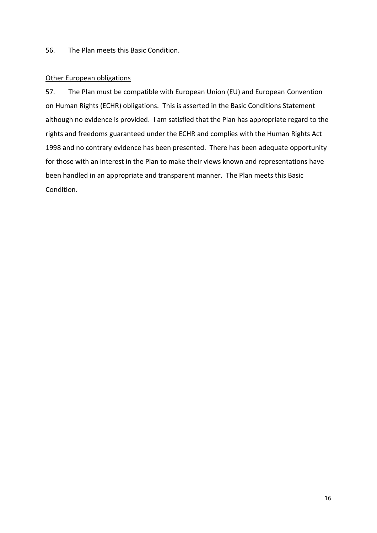56. The Plan meets this Basic Condition.

#### Other European obligations

57. The Plan must be compatible with European Union (EU) and European Convention on Human Rights (ECHR) obligations. This is asserted in the Basic Conditions Statement although no evidence is provided. I am satisfied that the Plan has appropriate regard to the rights and freedoms guaranteed under the ECHR and complies with the Human Rights Act 1998 and no contrary evidence has been presented. There has been adequate opportunity for those with an interest in the Plan to make their views known and representations have been handled in an appropriate and transparent manner. The Plan meets this Basic Condition.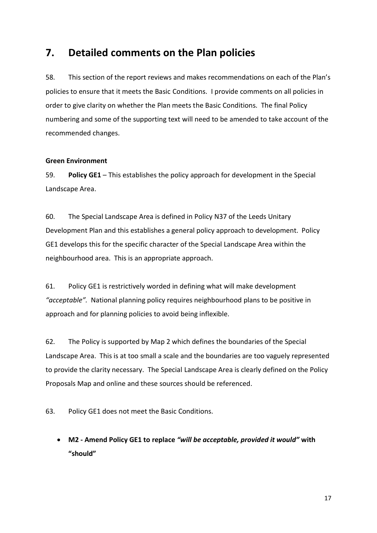## **7. Detailed comments on the Plan policies**

58. This section of the report reviews and makes recommendations on each of the Plan's policies to ensure that it meets the Basic Conditions. I provide comments on all policies in order to give clarity on whether the Plan meets the Basic Conditions. The final Policy numbering and some of the supporting text will need to be amended to take account of the recommended changes.

#### **Green Environment**

59. **Policy GE1** – This establishes the policy approach for development in the Special Landscape Area.

60. The Special Landscape Area is defined in Policy N37 of the Leeds Unitary Development Plan and this establishes a general policy approach to development. Policy GE1 develops this for the specific character of the Special Landscape Area within the neighbourhood area. This is an appropriate approach.

61. Policy GE1 is restrictively worded in defining what will make development *"acceptable".* National planning policy requires neighbourhood plans to be positive in approach and for planning policies to avoid being inflexible.

62. The Policy is supported by Map 2 which defines the boundaries of the Special Landscape Area. This is at too small a scale and the boundaries are too vaguely represented to provide the clarity necessary. The Special Landscape Area is clearly defined on the Policy Proposals Map and online and these sources should be referenced.

63. Policy GE1 does not meet the Basic Conditions.

 **M2 - Amend Policy GE1 to replace** *"will be acceptable, provided it would"* **with "should"**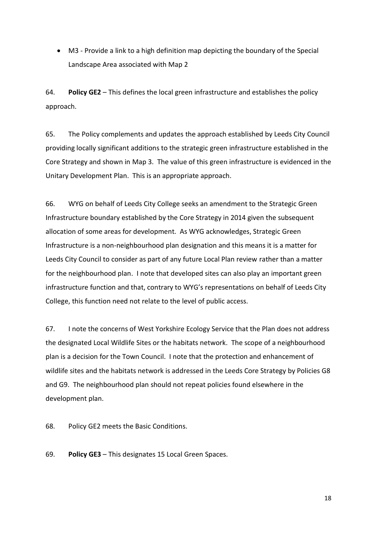M3 - Provide a link to a high definition map depicting the boundary of the Special Landscape Area associated with Map 2

64. **Policy GE2** – This defines the local green infrastructure and establishes the policy approach.

65. The Policy complements and updates the approach established by Leeds City Council providing locally significant additions to the strategic green infrastructure established in the Core Strategy and shown in Map 3. The value of this green infrastructure is evidenced in the Unitary Development Plan. This is an appropriate approach.

66. WYG on behalf of Leeds City College seeks an amendment to the Strategic Green Infrastructure boundary established by the Core Strategy in 2014 given the subsequent allocation of some areas for development. As WYG acknowledges, Strategic Green Infrastructure is a non-neighbourhood plan designation and this means it is a matter for Leeds City Council to consider as part of any future Local Plan review rather than a matter for the neighbourhood plan. I note that developed sites can also play an important green infrastructure function and that, contrary to WYG's representations on behalf of Leeds City College, this function need not relate to the level of public access.

67. I note the concerns of West Yorkshire Ecology Service that the Plan does not address the designated Local Wildlife Sites or the habitats network. The scope of a neighbourhood plan is a decision for the Town Council. I note that the protection and enhancement of wildlife sites and the habitats network is addressed in the Leeds Core Strategy by Policies G8 and G9. The neighbourhood plan should not repeat policies found elsewhere in the development plan.

68. Policy GE2 meets the Basic Conditions.

69. **Policy GE3** – This designates 15 Local Green Spaces.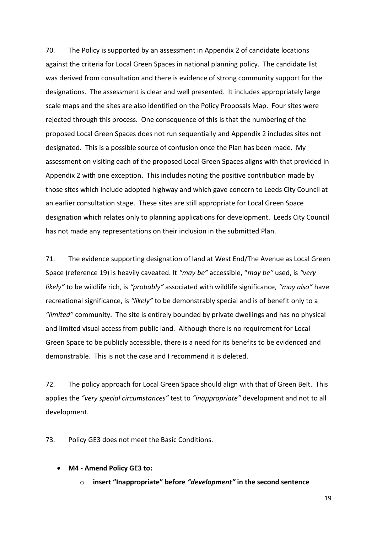70. The Policy is supported by an assessment in Appendix 2 of candidate locations against the criteria for Local Green Spaces in national planning policy. The candidate list was derived from consultation and there is evidence of strong community support for the designations. The assessment is clear and well presented. It includes appropriately large scale maps and the sites are also identified on the Policy Proposals Map. Four sites were rejected through this process. One consequence of this is that the numbering of the proposed Local Green Spaces does not run sequentially and Appendix 2 includes sites not designated. This is a possible source of confusion once the Plan has been made. My assessment on visiting each of the proposed Local Green Spaces aligns with that provided in Appendix 2 with one exception. This includes noting the positive contribution made by those sites which include adopted highway and which gave concern to Leeds City Council at an earlier consultation stage. These sites are still appropriate for Local Green Space designation which relates only to planning applications for development. Leeds City Council has not made any representations on their inclusion in the submitted Plan.

71. The evidence supporting designation of land at West End/The Avenue as Local Green Space (reference 19) is heavily caveated. It *"may be"* accessible, "*may be"* used, is *"very likely"* to be wildlife rich, is *"probably"* associated with wildlife significance, *"may also"* have recreational significance, is *"likely"* to be demonstrably special and is of benefit only to a *"limited"* community. The site is entirely bounded by private dwellings and has no physical and limited visual access from public land. Although there is no requirement for Local Green Space to be publicly accessible, there is a need for its benefits to be evidenced and demonstrable. This is not the case and I recommend it is deleted.

72. The policy approach for Local Green Space should align with that of Green Belt. This applies the *"very special circumstances"* test to *"inappropriate"* development and not to all development.

73. Policy GE3 does not meet the Basic Conditions.

- **M4 - Amend Policy GE3 to:**
	- o **insert "Inappropriate" before** *"development"* **in the second sentence**

19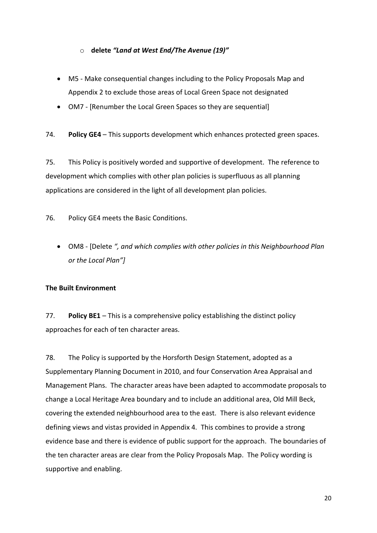### o **delete** *"Land at West End/The Avenue (19)"*

- M5 Make consequential changes including to the Policy Proposals Map and Appendix 2 to exclude those areas of Local Green Space not designated
- OM7 [Renumber the Local Green Spaces so they are sequential]
- 74. **Policy GE4** This supports development which enhances protected green spaces.

75. This Policy is positively worded and supportive of development. The reference to development which complies with other plan policies is superfluous as all planning applications are considered in the light of all development plan policies.

76. Policy GE4 meets the Basic Conditions.

 OM8 - [Delete *", and which complies with other policies in this Neighbourhood Plan or the Local Plan"]*

## **The Built Environment**

77. **Policy BE1** – This is a comprehensive policy establishing the distinct policy approaches for each of ten character areas.

78. The Policy is supported by the Horsforth Design Statement, adopted as a Supplementary Planning Document in 2010, and four Conservation Area Appraisal and Management Plans. The character areas have been adapted to accommodate proposals to change a Local Heritage Area boundary and to include an additional area, Old Mill Beck, covering the extended neighbourhood area to the east. There is also relevant evidence defining views and vistas provided in Appendix 4. This combines to provide a strong evidence base and there is evidence of public support for the approach. The boundaries of the ten character areas are clear from the Policy Proposals Map. The Policy wording is supportive and enabling.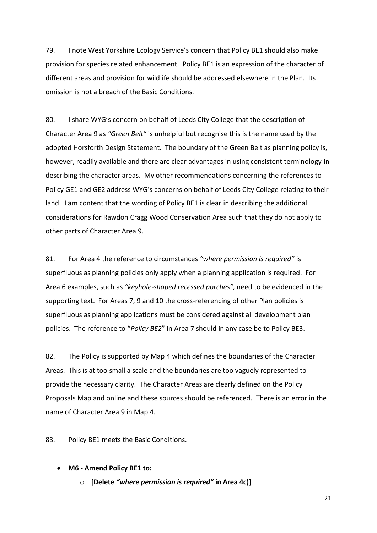79. I note West Yorkshire Ecology Service's concern that Policy BE1 should also make provision for species related enhancement. Policy BE1 is an expression of the character of different areas and provision for wildlife should be addressed elsewhere in the Plan. Its omission is not a breach of the Basic Conditions.

80. I share WYG's concern on behalf of Leeds City College that the description of Character Area 9 as *"Green Belt"* is unhelpful but recognise this is the name used by the adopted Horsforth Design Statement. The boundary of the Green Belt as planning policy is, however, readily available and there are clear advantages in using consistent terminology in describing the character areas. My other recommendations concerning the references to Policy GE1 and GE2 address WYG's concerns on behalf of Leeds City College relating to their land. I am content that the wording of Policy BE1 is clear in describing the additional considerations for Rawdon Cragg Wood Conservation Area such that they do not apply to other parts of Character Area 9.

81. For Area 4 the reference to circumstances *"where permission is required"* is superfluous as planning policies only apply when a planning application is required. For Area 6 examples, such as *"keyhole-shaped recessed porches",* need to be evidenced in the supporting text. For Areas 7, 9 and 10 the cross-referencing of other Plan policies is superfluous as planning applications must be considered against all development plan policies. The reference to "*Policy BE2*" in Area 7 should in any case be to Policy BE3.

82. The Policy is supported by Map 4 which defines the boundaries of the Character Areas. This is at too small a scale and the boundaries are too vaguely represented to provide the necessary clarity. The Character Areas are clearly defined on the Policy Proposals Map and online and these sources should be referenced. There is an error in the name of Character Area 9 in Map 4.

83. Policy BE1 meets the Basic Conditions.

**M6 - Amend Policy BE1 to:**

o **[Delete** *"where permission is required"* **in Area 4c)]**

21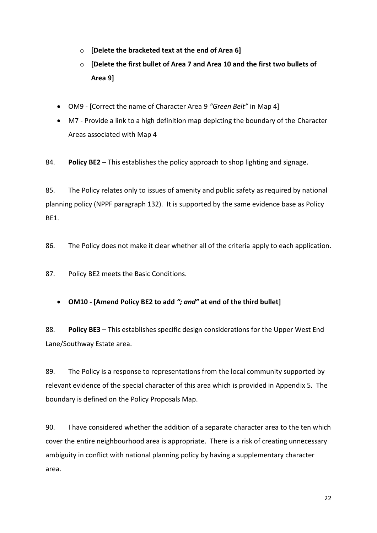- o **[Delete the bracketed text at the end of Area 6]**
- o **[Delete the first bullet of Area 7 and Area 10 and the first two bullets of Area 9]**
- OM9 [Correct the name of Character Area 9 *"Green Belt"* in Map 4]
- M7 Provide a link to a high definition map depicting the boundary of the Character Areas associated with Map 4

84. **Policy BE2** – This establishes the policy approach to shop lighting and signage.

85. The Policy relates only to issues of amenity and public safety as required by national planning policy (NPPF paragraph 132). It is supported by the same evidence base as Policy BE1.

86. The Policy does not make it clear whether all of the criteria apply to each application.

87. Policy BE2 meets the Basic Conditions.

**OM10 - [Amend Policy BE2 to add** *"; and"* **at end of the third bullet]**

88. **Policy BE3** – This establishes specific design considerations for the Upper West End Lane/Southway Estate area.

89. The Policy is a response to representations from the local community supported by relevant evidence of the special character of this area which is provided in Appendix 5. The boundary is defined on the Policy Proposals Map.

90. I have considered whether the addition of a separate character area to the ten which cover the entire neighbourhood area is appropriate. There is a risk of creating unnecessary ambiguity in conflict with national planning policy by having a supplementary character area.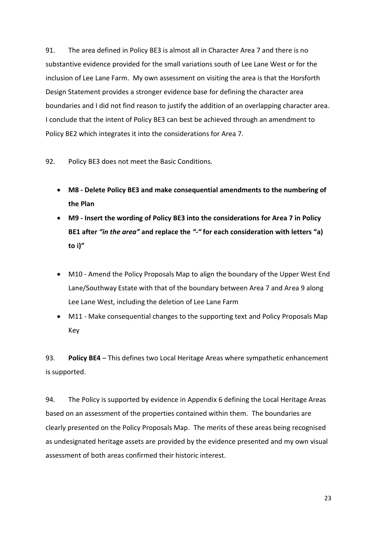91. The area defined in Policy BE3 is almost all in Character Area 7 and there is no substantive evidence provided for the small variations south of Lee Lane West or for the inclusion of Lee Lane Farm. My own assessment on visiting the area is that the Horsforth Design Statement provides a stronger evidence base for defining the character area boundaries and I did not find reason to justify the addition of an overlapping character area. I conclude that the intent of Policy BE3 can best be achieved through an amendment to Policy BE2 which integrates it into the considerations for Area 7.

92. Policy BE3 does not meet the Basic Conditions.

- **M8 - Delete Policy BE3 and make consequential amendments to the numbering of the Plan**
- **M9 - Insert the wording of Policy BE3 into the considerations for Area 7 in Policy BE1 after** *"in the area"* **and replace the** *"-"* **for each consideration with letters "a) to i)"**
- M10 Amend the Policy Proposals Map to align the boundary of the Upper West End Lane/Southway Estate with that of the boundary between Area 7 and Area 9 along Lee Lane West, including the deletion of Lee Lane Farm
- M11 Make consequential changes to the supporting text and Policy Proposals Map Key

93. **Policy BE4** – This defines two Local Heritage Areas where sympathetic enhancement is supported.

94. The Policy is supported by evidence in Appendix 6 defining the Local Heritage Areas based on an assessment of the properties contained within them. The boundaries are clearly presented on the Policy Proposals Map. The merits of these areas being recognised as undesignated heritage assets are provided by the evidence presented and my own visual assessment of both areas confirmed their historic interest.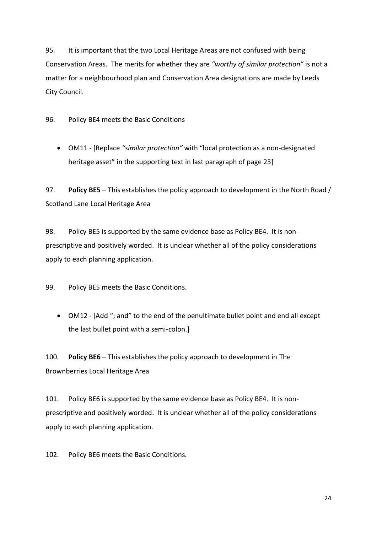95. It is important that the two Local Heritage Areas are not confused with being Conservation Areas. The merits for whether they are *"worthy of similar protection"* is not a matter for a neighbourhood plan and Conservation Area designations are made by Leeds City Council.

96. Policy BE4 meets the Basic Conditions

 OM11 - [Replace *"similar protection"* with "local protection as a non-designated heritage asset" in the supporting text in last paragraph of page 23]

97. **Policy BE5** – This establishes the policy approach to development in the North Road / Scotland Lane Local Heritage Area

98. Policy BE5 is supported by the same evidence base as Policy BE4. It is nonprescriptive and positively worded. It is unclear whether all of the policy considerations apply to each planning application.

99. Policy BE5 meets the Basic Conditions.

 OM12 - [Add "; and" to the end of the penultimate bullet point and end all except the last bullet point with a semi-colon.]

100. **Policy BE6** – This establishes the policy approach to development in The Brownberries Local Heritage Area

101. Policy BE6 is supported by the same evidence base as Policy BE4. It is nonprescriptive and positively worded. It is unclear whether all of the policy considerations apply to each planning application.

102. Policy BE6 meets the Basic Conditions.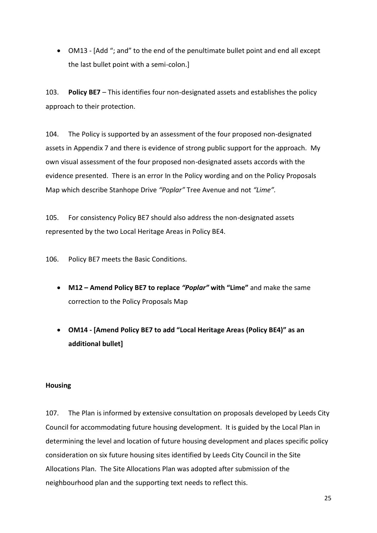OM13 - [Add "; and" to the end of the penultimate bullet point and end all except the last bullet point with a semi-colon.]

103. **Policy BE7** – This identifies four non-designated assets and establishes the policy approach to their protection.

104. The Policy is supported by an assessment of the four proposed non-designated assets in Appendix 7 and there is evidence of strong public support for the approach. My own visual assessment of the four proposed non-designated assets accords with the evidence presented. There is an error In the Policy wording and on the Policy Proposals Map which describe Stanhope Drive *"Poplar"* Tree Avenue and not *"Lime".*

105. For consistency Policy BE7 should also address the non-designated assets represented by the two Local Heritage Areas in Policy BE4.

106. Policy BE7 meets the Basic Conditions.

- **M12 – Amend Policy BE7 to replace** *"Poplar"* **with "Lime"** and make the same correction to the Policy Proposals Map
- **OM14 - [Amend Policy BE7 to add "Local Heritage Areas (Policy BE4)" as an additional bullet]**

#### **Housing**

107. The Plan is informed by extensive consultation on proposals developed by Leeds City Council for accommodating future housing development. It is guided by the Local Plan in determining the level and location of future housing development and places specific policy consideration on six future housing sites identified by Leeds City Council in the Site Allocations Plan. The Site Allocations Plan was adopted after submission of the neighbourhood plan and the supporting text needs to reflect this.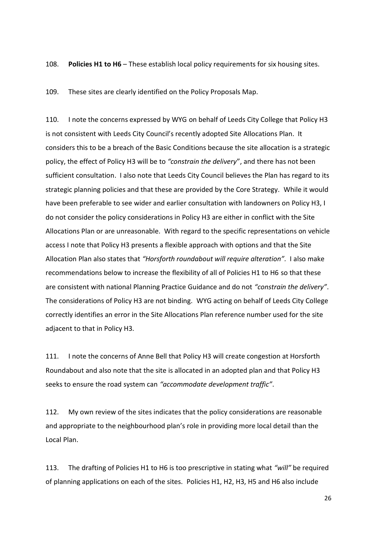108. **Policies H1 to H6** – These establish local policy requirements for six housing sites.

109. These sites are clearly identified on the Policy Proposals Map.

110. I note the concerns expressed by WYG on behalf of Leeds City College that Policy H3 is not consistent with Leeds City Council's recently adopted Site Allocations Plan. It considers this to be a breach of the Basic Conditions because the site allocation is a strategic policy, the effect of Policy H3 will be to *"constrain the delivery*", and there has not been sufficient consultation. I also note that Leeds City Council believes the Plan has regard to its strategic planning policies and that these are provided by the Core Strategy. While it would have been preferable to see wider and earlier consultation with landowners on Policy H3, I do not consider the policy considerations in Policy H3 are either in conflict with the Site Allocations Plan or are unreasonable. With regard to the specific representations on vehicle access I note that Policy H3 presents a flexible approach with options and that the Site Allocation Plan also states that *"Horsforth roundabout will require alteration".* I also make recommendations below to increase the flexibility of all of Policies H1 to H6 so that these are consistent with national Planning Practice Guidance and do not *"constrain the delivery"*. The considerations of Policy H3 are not binding. WYG acting on behalf of Leeds City College correctly identifies an error in the Site Allocations Plan reference number used for the site adjacent to that in Policy H3.

111. I note the concerns of Anne Bell that Policy H3 will create congestion at Horsforth Roundabout and also note that the site is allocated in an adopted plan and that Policy H3 seeks to ensure the road system can *"accommodate development traffic"*.

112. My own review of the sites indicates that the policy considerations are reasonable and appropriate to the neighbourhood plan's role in providing more local detail than the Local Plan.

113. The drafting of Policies H1 to H6 is too prescriptive in stating what *"will"* be required of planning applications on each of the sites. Policies H1, H2, H3, H5 and H6 also include

26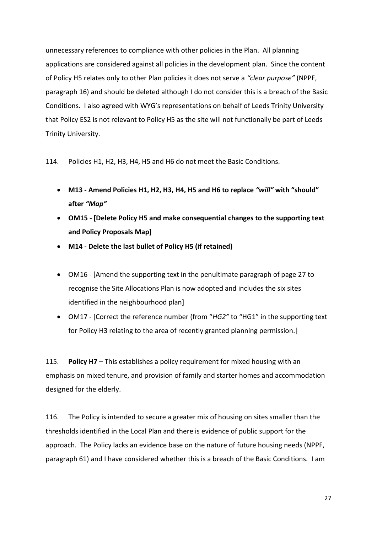unnecessary references to compliance with other policies in the Plan. All planning applications are considered against all policies in the development plan. Since the content of Policy H5 relates only to other Plan policies it does not serve a *"clear purpose"* (NPPF, paragraph 16) and should be deleted although I do not consider this is a breach of the Basic Conditions. I also agreed with WYG's representations on behalf of Leeds Trinity University that Policy ES2 is not relevant to Policy H5 as the site will not functionally be part of Leeds Trinity University.

114. Policies H1, H2, H3, H4, H5 and H6 do not meet the Basic Conditions.

- **M13 - Amend Policies H1, H2, H3, H4, H5 and H6 to replace** *"will"* **with "should" after** *"Map"*
- **OM15 - [Delete Policy H5 and make consequential changes to the supporting text and Policy Proposals Map]**
- **M14 - Delete the last bullet of Policy H5 (if retained)**
- OM16 [Amend the supporting text in the penultimate paragraph of page 27 to recognise the Site Allocations Plan is now adopted and includes the six sites identified in the neighbourhood plan]
- OM17 [Correct the reference number (from "*HG2"* to "HG1" in the supporting text for Policy H3 relating to the area of recently granted planning permission.]

115. **Policy H7** – This establishes a policy requirement for mixed housing with an emphasis on mixed tenure, and provision of family and starter homes and accommodation designed for the elderly.

116. The Policy is intended to secure a greater mix of housing on sites smaller than the thresholds identified in the Local Plan and there is evidence of public support for the approach. The Policy lacks an evidence base on the nature of future housing needs (NPPF, paragraph 61) and I have considered whether this is a breach of the Basic Conditions. I am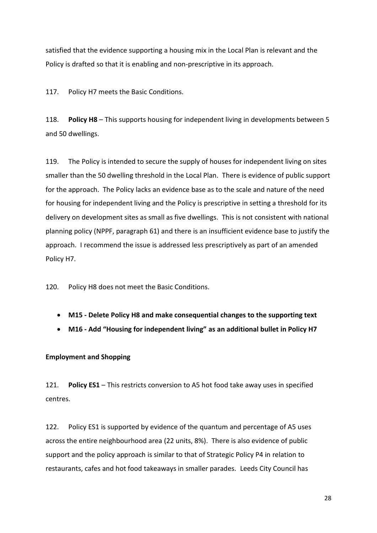satisfied that the evidence supporting a housing mix in the Local Plan is relevant and the Policy is drafted so that it is enabling and non-prescriptive in its approach.

117. Policy H7 meets the Basic Conditions.

118. **Policy H8** – This supports housing for independent living in developments between 5 and 50 dwellings.

119. The Policy is intended to secure the supply of houses for independent living on sites smaller than the 50 dwelling threshold in the Local Plan. There is evidence of public support for the approach. The Policy lacks an evidence base as to the scale and nature of the need for housing for independent living and the Policy is prescriptive in setting a threshold for its delivery on development sites as small as five dwellings. This is not consistent with national planning policy (NPPF, paragraph 61) and there is an insufficient evidence base to justify the approach. I recommend the issue is addressed less prescriptively as part of an amended Policy H7.

120. Policy H8 does not meet the Basic Conditions.

- **M15 - Delete Policy H8 and make consequential changes to the supporting text**
- **M16 - Add "Housing for independent living" as an additional bullet in Policy H7**

## **Employment and Shopping**

121. **Policy ES1** – This restricts conversion to A5 hot food take away uses in specified centres.

122. Policy ES1 is supported by evidence of the quantum and percentage of A5 uses across the entire neighbourhood area (22 units, 8%). There is also evidence of public support and the policy approach is similar to that of Strategic Policy P4 in relation to restaurants, cafes and hot food takeaways in smaller parades. Leeds City Council has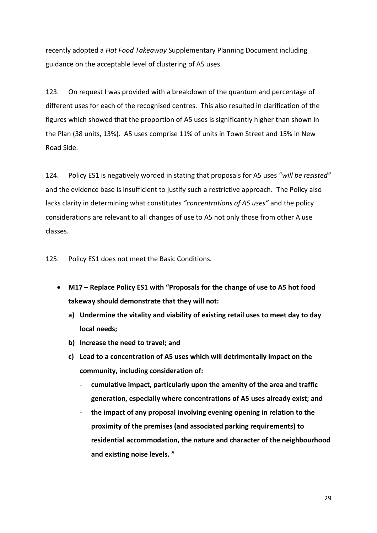recently adopted a *Hot Food Takeaway* Supplementary Planning Document including guidance on the acceptable level of clustering of A5 uses.

123. On request I was provided with a breakdown of the quantum and percentage of different uses for each of the recognised centres. This also resulted in clarification of the figures which showed that the proportion of A5 uses is significantly higher than shown in the Plan (38 units, 13%). A5 uses comprise 11% of units in Town Street and 15% in New Road Side.

124. Policy ES1 is negatively worded in stating that proposals for A5 uses "*will be resisted"* and the evidence base is insufficient to justify such a restrictive approach. The Policy also lacks clarity in determining what constitutes *"concentrations of A5 uses"* and the policy considerations are relevant to all changes of use to A5 not only those from other A use classes.

125. Policy ES1 does not meet the Basic Conditions.

- **M17 – Replace Policy ES1 with "Proposals for the change of use to A5 hot food takeway should demonstrate that they will not:**
	- **a) Undermine the vitality and viability of existing retail uses to meet day to day local needs;**
	- **b) Increase the need to travel; and**
	- **c) Lead to a concentration of A5 uses which will detrimentally impact on the community, including consideration of:**
		- **cumulative impact, particularly upon the amenity of the area and traffic generation, especially where concentrations of A5 uses already exist; and**
		- the impact of any proposal involving evening opening in relation to the **proximity of the premises (and associated parking requirements) to residential accommodation, the nature and character of the neighbourhood and existing noise levels. "**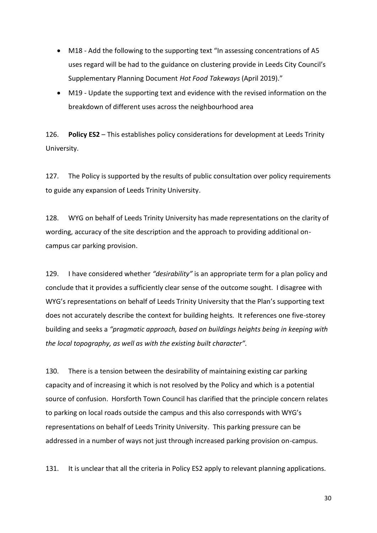- M18 Add the following to the supporting text "In assessing concentrations of A5 uses regard will be had to the guidance on clustering provide in Leeds City Council's Supplementary Planning Document *Hot Food Takeways* (April 2019)."
- M19 Update the supporting text and evidence with the revised information on the breakdown of different uses across the neighbourhood area

126. **Policy ES2** – This establishes policy considerations for development at Leeds Trinity University.

127. The Policy is supported by the results of public consultation over policy requirements to guide any expansion of Leeds Trinity University.

128. WYG on behalf of Leeds Trinity University has made representations on the clarity of wording, accuracy of the site description and the approach to providing additional oncampus car parking provision.

129. I have considered whether *"desirability"* is an appropriate term for a plan policy and conclude that it provides a sufficiently clear sense of the outcome sought. I disagree with WYG's representations on behalf of Leeds Trinity University that the Plan's supporting text does not accurately describe the context for building heights. It references one five-storey building and seeks a *"pragmatic approach, based on buildings heights being in keeping with the local topography, as well as with the existing built character".*

130. There is a tension between the desirability of maintaining existing car parking capacity and of increasing it which is not resolved by the Policy and which is a potential source of confusion. Horsforth Town Council has clarified that the principle concern relates to parking on local roads outside the campus and this also corresponds with WYG's representations on behalf of Leeds Trinity University. This parking pressure can be addressed in a number of ways not just through increased parking provision on-campus.

131. It is unclear that all the criteria in Policy ES2 apply to relevant planning applications.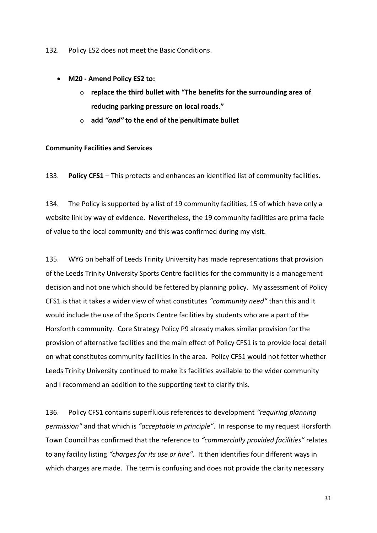132. Policy ES2 does not meet the Basic Conditions.

- **M20 - Amend Policy ES2 to:**
	- o **replace the third bullet with "The benefits for the surrounding area of reducing parking pressure on local roads."**
	- o **add** *"and"* **to the end of the penultimate bullet**

#### **Community Facilities and Services**

133. **Policy CFS1** – This protects and enhances an identified list of community facilities.

134. The Policy is supported by a list of 19 community facilities, 15 of which have only a website link by way of evidence. Nevertheless, the 19 community facilities are prima facie of value to the local community and this was confirmed during my visit.

135. WYG on behalf of Leeds Trinity University has made representations that provision of the Leeds Trinity University Sports Centre facilities for the community is a management decision and not one which should be fettered by planning policy. My assessment of Policy CFS1 is that it takes a wider view of what constitutes *"community need"* than this and it would include the use of the Sports Centre facilities by students who are a part of the Horsforth community. Core Strategy Policy P9 already makes similar provision for the provision of alternative facilities and the main effect of Policy CFS1 is to provide local detail on what constitutes community facilities in the area. Policy CFS1 would not fetter whether Leeds Trinity University continued to make its facilities available to the wider community and I recommend an addition to the supporting text to clarify this.

136. Policy CFS1 contains superfluous references to development *"requiring planning permission"* and that which is *"acceptable in principle"*. In response to my request Horsforth Town Council has confirmed that the reference to *"commercially provided facilities"* relates to any facility listing *"charges for its use or hire".* It then identifies four different ways in which charges are made. The term is confusing and does not provide the clarity necessary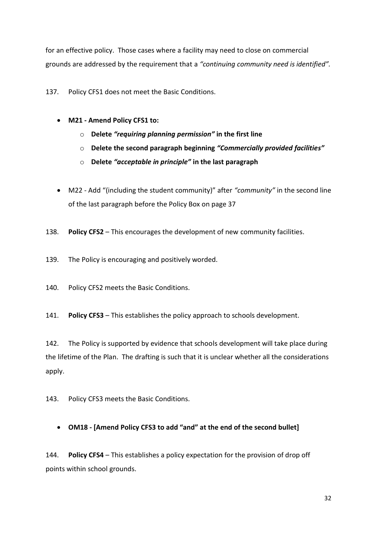for an effective policy. Those cases where a facility may need to close on commercial grounds are addressed by the requirement that a *"continuing community need is identified".*

137. Policy CFS1 does not meet the Basic Conditions.

- **M21 - Amend Policy CFS1 to:**
	- o **Delete** *"requiring planning permission"* **in the first line**
	- o **Delete the second paragraph beginning** *"Commercially provided facilities"*
	- o **Delete** *"acceptable in principle"* **in the last paragraph**
- M22 Add "(including the student community)" after *"community"* in the second line of the last paragraph before the Policy Box on page 37
- 138. **Policy CFS2** This encourages the development of new community facilities.
- 139. The Policy is encouraging and positively worded.
- 140. Policy CFS2 meets the Basic Conditions.
- 141. **Policy CFS3** This establishes the policy approach to schools development.

142. The Policy is supported by evidence that schools development will take place during the lifetime of the Plan. The drafting is such that it is unclear whether all the considerations apply.

143. Policy CFS3 meets the Basic Conditions.

**OM18 - [Amend Policy CFS3 to add "and" at the end of the second bullet]**

144. **Policy CFS4** – This establishes a policy expectation for the provision of drop off points within school grounds.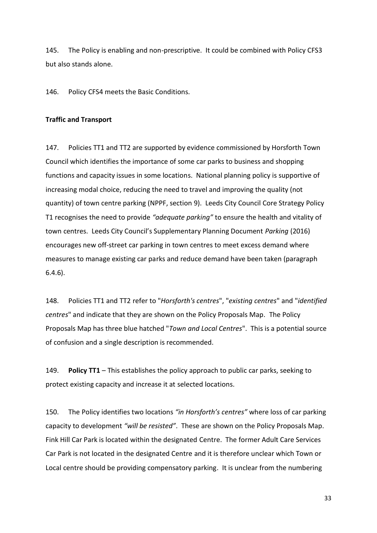145. The Policy is enabling and non-prescriptive. It could be combined with Policy CFS3 but also stands alone.

146. Policy CFS4 meets the Basic Conditions.

#### **Traffic and Transport**

147. Policies TT1 and TT2 are supported by evidence commissioned by Horsforth Town Council which identifies the importance of some car parks to business and shopping functions and capacity issues in some locations. National planning policy is supportive of increasing modal choice, reducing the need to travel and improving the quality (not quantity) of town centre parking (NPPF, section 9). Leeds City Council Core Strategy Policy T1 recognises the need to provide *"adequate parking"* to ensure the health and vitality of town centres. Leeds City Council's Supplementary Planning Document *Parking* (2016) encourages new off-street car parking in town centres to meet excess demand where measures to manage existing car parks and reduce demand have been taken (paragraph 6.4.6).

148. Policies TT1 and TT2 refer to "*Horsforth's centres*", "*existing centres*" and "*identified centres*" and indicate that they are shown on the Policy Proposals Map. The Policy Proposals Map has three blue hatched "*Town and Local Centres*". This is a potential source of confusion and a single description is recommended.

149. **Policy TT1** – This establishes the policy approach to public car parks, seeking to protect existing capacity and increase it at selected locations.

150. The Policy identifies two locations *"in Horsforth's centres"* where loss of car parking capacity to development *"will be resisted"*. These are shown on the Policy Proposals Map. Fink Hill Car Park is located within the designated Centre. The former Adult Care Services Car Park is not located in the designated Centre and it is therefore unclear which Town or Local centre should be providing compensatory parking. It is unclear from the numbering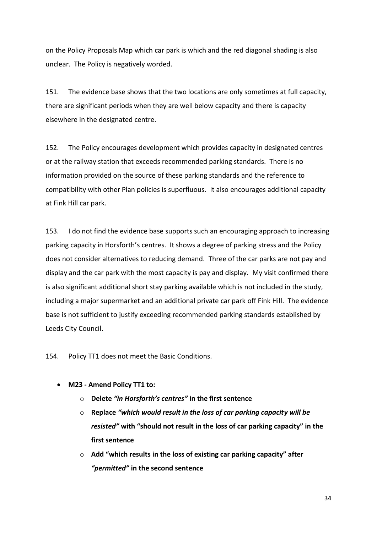on the Policy Proposals Map which car park is which and the red diagonal shading is also unclear. The Policy is negatively worded.

151. The evidence base shows that the two locations are only sometimes at full capacity, there are significant periods when they are well below capacity and there is capacity elsewhere in the designated centre.

152. The Policy encourages development which provides capacity in designated centres or at the railway station that exceeds recommended parking standards. There is no information provided on the source of these parking standards and the reference to compatibility with other Plan policies is superfluous. It also encourages additional capacity at Fink Hill car park.

153. I do not find the evidence base supports such an encouraging approach to increasing parking capacity in Horsforth's centres. It shows a degree of parking stress and the Policy does not consider alternatives to reducing demand. Three of the car parks are not pay and display and the car park with the most capacity is pay and display. My visit confirmed there is also significant additional short stay parking available which is not included in the study, including a major supermarket and an additional private car park off Fink Hill. The evidence base is not sufficient to justify exceeding recommended parking standards established by Leeds City Council.

154. Policy TT1 does not meet the Basic Conditions.

- **M23 - Amend Policy TT1 to:**
	- o **Delete** *"in Horsforth's centres"* **in the first sentence**
	- o **Replace** *"which would result in the loss of car parking capacity will be resisted"* **with "should not result in the loss of car parking capacity" in the first sentence**
	- o **Add "which results in the loss of existing car parking capacity" after**  *"permitted"* **in the second sentence**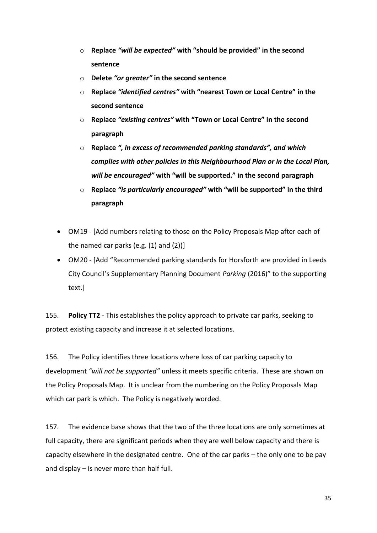- o **Replace** *"will be expected"* **with "should be provided" in the second sentence**
- o **Delete** *"or greater"* **in the second sentence**
- o **Replace** *"identified centres"* **with "nearest Town or Local Centre" in the second sentence**
- o **Replace** *"existing centres"* **with "Town or Local Centre" in the second paragraph**
- o **Replace** *", in excess of recommended parking standards", and which complies with other policies in this Neighbourhood Plan or in the Local Plan, will be encouraged"* **with "will be supported." in the second paragraph**
- o **Replace** *"is particularly encouraged"* **with "will be supported" in the third paragraph**
- OM19 [Add numbers relating to those on the Policy Proposals Map after each of the named car parks (e.g.  $(1)$  and  $(2)$ )]
- OM20 [Add "Recommended parking standards for Horsforth are provided in Leeds City Council's Supplementary Planning Document *Parking* (2016)" to the supporting text.]

155. **Policy TT2** - This establishes the policy approach to private car parks, seeking to protect existing capacity and increase it at selected locations.

156. The Policy identifies three locations where loss of car parking capacity to development *"will not be supported"* unless it meets specific criteria. These are shown on the Policy Proposals Map. It is unclear from the numbering on the Policy Proposals Map which car park is which. The Policy is negatively worded.

157. The evidence base shows that the two of the three locations are only sometimes at full capacity, there are significant periods when they are well below capacity and there is capacity elsewhere in the designated centre. One of the car parks – the only one to be pay and display – is never more than half full.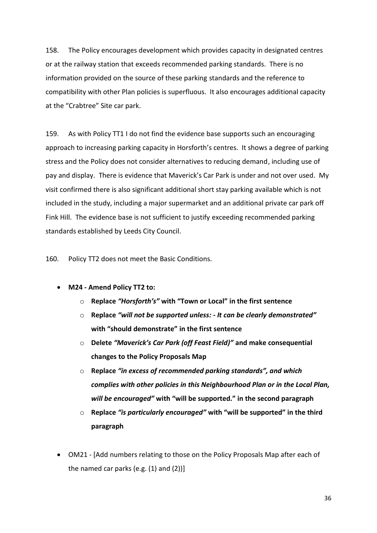158. The Policy encourages development which provides capacity in designated centres or at the railway station that exceeds recommended parking standards. There is no information provided on the source of these parking standards and the reference to compatibility with other Plan policies is superfluous. It also encourages additional capacity at the "Crabtree" Site car park.

159. As with Policy TT1 I do not find the evidence base supports such an encouraging approach to increasing parking capacity in Horsforth's centres. It shows a degree of parking stress and the Policy does not consider alternatives to reducing demand, including use of pay and display. There is evidence that Maverick's Car Park is under and not over used. My visit confirmed there is also significant additional short stay parking available which is not included in the study, including a major supermarket and an additional private car park off Fink Hill. The evidence base is not sufficient to justify exceeding recommended parking standards established by Leeds City Council.

160. Policy TT2 does not meet the Basic Conditions.

- **M24 - Amend Policy TT2 to:**
	- o **Replace** *"Horsforth's"* **with "Town or Local" in the first sentence**
	- o **Replace** *"will not be supported unless: - It can be clearly demonstrated"*  **with "should demonstrate" in the first sentence**
	- o **Delete** *"Maverick's Car Park (off Feast Field)"* **and make consequential changes to the Policy Proposals Map**
	- o **Replace** *"in excess of recommended parking standards", and which complies with other policies in this Neighbourhood Plan or in the Local Plan, will be encouraged"* **with "will be supported." in the second paragraph**
	- o **Replace** *"is particularly encouraged"* **with "will be supported" in the third paragraph**
- OM21 [Add numbers relating to those on the Policy Proposals Map after each of the named car parks (e.g.  $(1)$  and  $(2)$ )]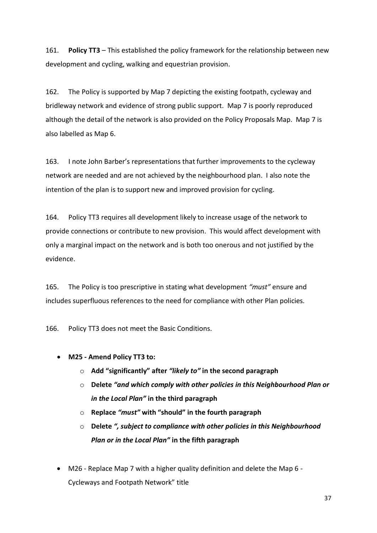161. **Policy TT3** – This established the policy framework for the relationship between new development and cycling, walking and equestrian provision.

162. The Policy is supported by Map 7 depicting the existing footpath, cycleway and bridleway network and evidence of strong public support. Map 7 is poorly reproduced although the detail of the network is also provided on the Policy Proposals Map. Map 7 is also labelled as Map 6.

163. I note John Barber's representations that further improvements to the cycleway network are needed and are not achieved by the neighbourhood plan. I also note the intention of the plan is to support new and improved provision for cycling.

164. Policy TT3 requires all development likely to increase usage of the network to provide connections or contribute to new provision. This would affect development with only a marginal impact on the network and is both too onerous and not justified by the evidence.

165. The Policy is too prescriptive in stating what development *"must"* ensure and includes superfluous references to the need for compliance with other Plan policies.

166. Policy TT3 does not meet the Basic Conditions.

- **M25 - Amend Policy TT3 to:**
	- o **Add "significantly" after** *"likely to"* **in the second paragraph**
	- o **Delete** *"and which comply with other policies in this Neighbourhood Plan or in the Local Plan"* **in the third paragraph**
	- o **Replace** *"must"* **with "should" in the fourth paragraph**
	- o **Delete** *", subject to compliance with other policies in this Neighbourhood Plan or in the Local Plan"* **in the fifth paragraph**
- M26 Replace Map 7 with a higher quality definition and delete the Map 6 Cycleways and Footpath Network" title